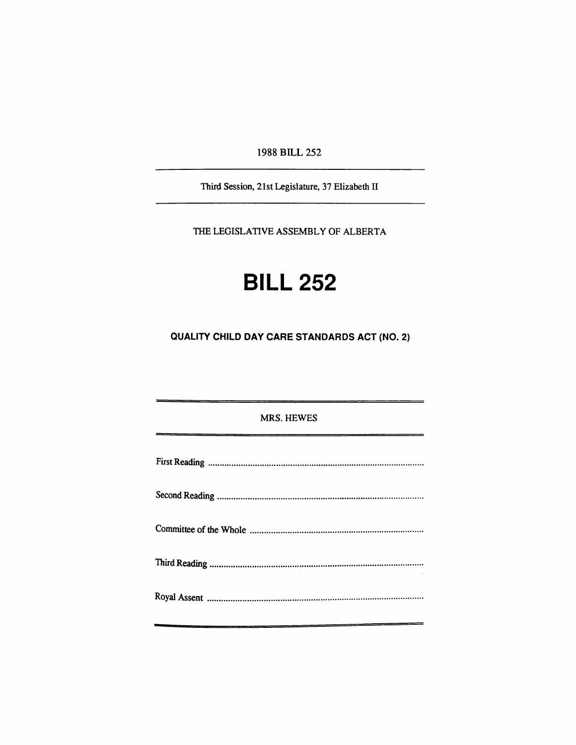1988 BILL 252

Third Session, 21st Legislamre, 37 Elizabedi II

THE LEGISLATIVE ASSEMBLY OF ALBERTA

# **BILL 252**

**QUALITY CHILD DAY CARE STANDARDS ACT (NO. 2)** 

| <b>MRS. HEWES</b> |
|-------------------|
|                   |
|                   |
|                   |
|                   |
|                   |
|                   |
|                   |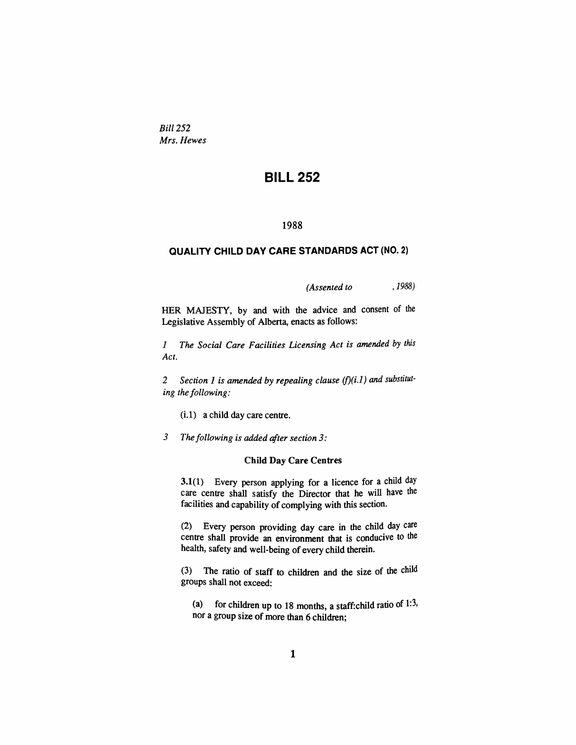*Bill 252 Mrs. Hewes* 

## **BILL 252**

#### **1988**

#### **QUALITY CHILD DAY CARE STANDARDS ACT (NO. 2)**

*(Assented to , 1988)* 

HER MAJESTY, by and with the advice and consent of the Legislative Assembly of Alberta, enacts as follows:

*1 The Social Care Facilities Licensing Act is amended by this Act.* 

*2 Section 1 is amended by repealing clause (f)(i.l) and substituting the following:* 

(i. 1) a child day care centre.

3 The following is added after section 3:

#### Child Day Care Centres

 $3.1(1)$  Every person applying for a licence for a child day care centre shall satisfy the Director that he will have the facilities and capability of complying with this section.

(2) Every person providing day care in the child day care centre shall provide an environment that is conducive to the health, safety and well-being of every child therein.

(3) The ratio of staff to children and die size of die child groups shall not exceed:

(a) for children up to 18 months, a staff: child ratio of  $1:3$ , nor a group size of more than 6 children;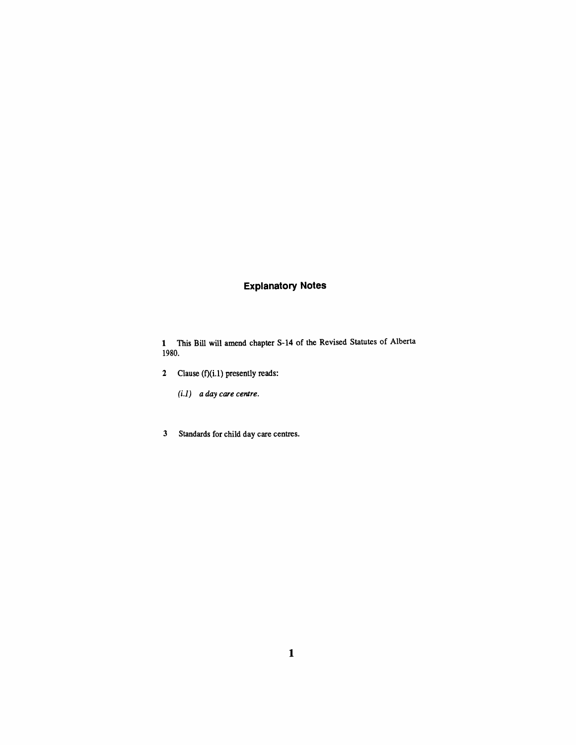### **Explanatory Notes**

1 This Bill will amend chapter S-14 of the Revised Statutes of Alberta 1980.

- 2 Clause (f)(i.l) presently reads:
	- *(i.l) a day care centre.*
- 3 Standards for child day care centres.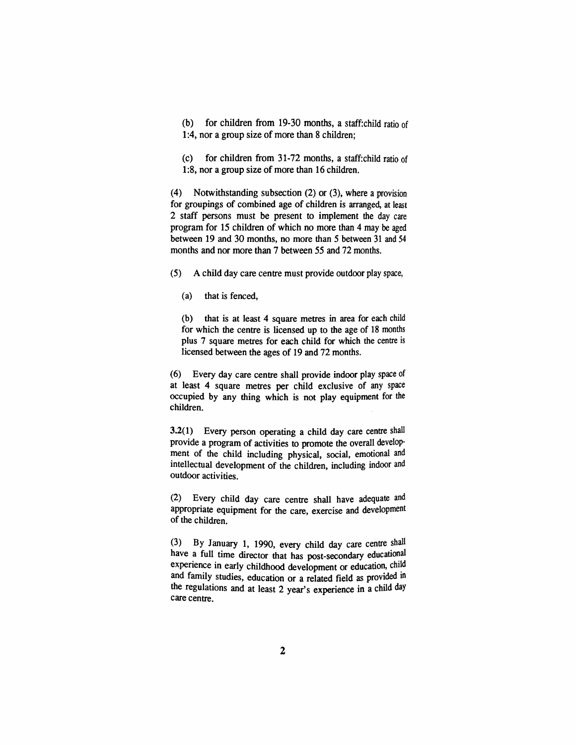(b) for children from 19-30 months, a staff: child ratio of 1:4, nor a group size of more than 8 children;

(c) for children from  $31-72$  months, a staff: child ratio of 1:8, nor a group size of more than 16 children.

(4) Notwithstanding subsection (2) or (3), where a provision for groupings of combined age of children is artanged, at least 2 staff persons must be present to implement die day care program for 15 children of which no more than 4 may be aged between 19 and 30 months, no more dian 5 between 31 and 54 months and nor more than 7 between 55 and 72 months.

(5) A child day care centre must provide outdoor play space,

(a) that is fenced,

(b) that is at least 4 square metres in area for each child for which the centre is licensed up to the age of 18 months plus 7 square metres for each child for which the centre is licensed between the ages of 19 and 72 months.

(6) Every day care centte shall provide indoor play space of at least 4 square mettes per child exclusive of any space occupied by any thing which is not play equipment for the children.

 $3.2(1)$  Every person operating a child day care centre shall provide a program of activities to promote die overall development of die child including physical, social, emotional and intellectual development of the children, including indoor and outdoor activities.

(2) Every child day care centre shall have adequate and appropriate equipment for the care, exercise and development of the children.

(3) By January 1, 1990, every child day care centre shall have a full time director that has post-secondary educational experience in early childhood development or education, child and family studies, education or a related field as provided in the regulations and at least 2 year's experience in a child day care centre.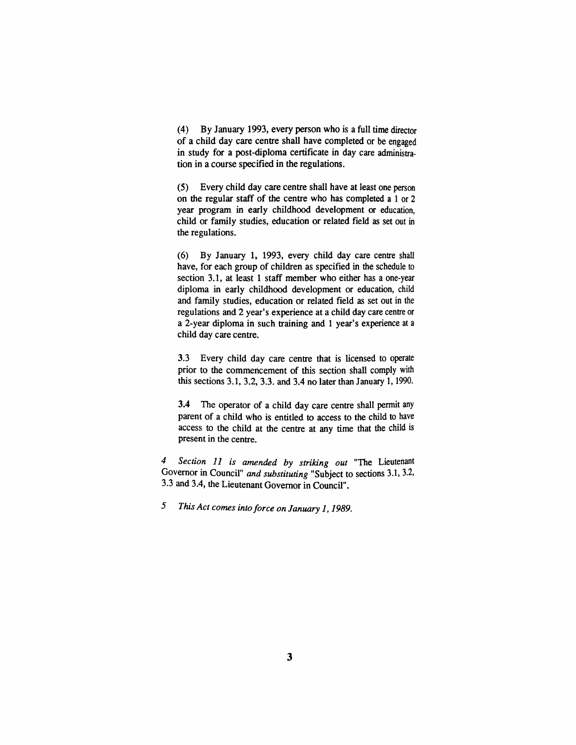(4) By January 1993, every person who is a full time director of a child day care centre shall have completed or be engaged in study for a post-diploma certificate in day care administration in a course specified in the regulations.

(5) Every child day care centre shall have at least one person on die regular staff of the centre who has completed a 1 or 2 year program in early childhood development or education, child or family studies, education or related field as set out in the regulations.

(6) By January 1, 1993, every child day care centre shall have, for each group of children as specified in the schedule to section 3.1, at least 1 staff member who either has a one-year diploma in early childhood development or education, child and family studies, education or related field as set out in the regulations and 2 year's experience at a child day care centre or a 2-year diploma in such ttaining and 1 year's experience at a child day care centre.

3.3 Every child day care centre that is licensed to operate prior to the commencement of this section shall comply with this sections 3.1, 3.2, 3.3. and 3.4 no later than January 1, 1990.

3.4 The operator of a child day care centre shall permit any parent of a child who is entitled to access to the child to have access to the child at the centre at any time that the child is present in the centre.

*4 Section 11 is amended by striking out* "The Lieutenant Governor in Council" and substituting "Subject to sections 3.1, 3.2, 3.3 and 3.4, the Lieutenant Governor in Council".

*5 This Act comes into force on January 1,1989.*